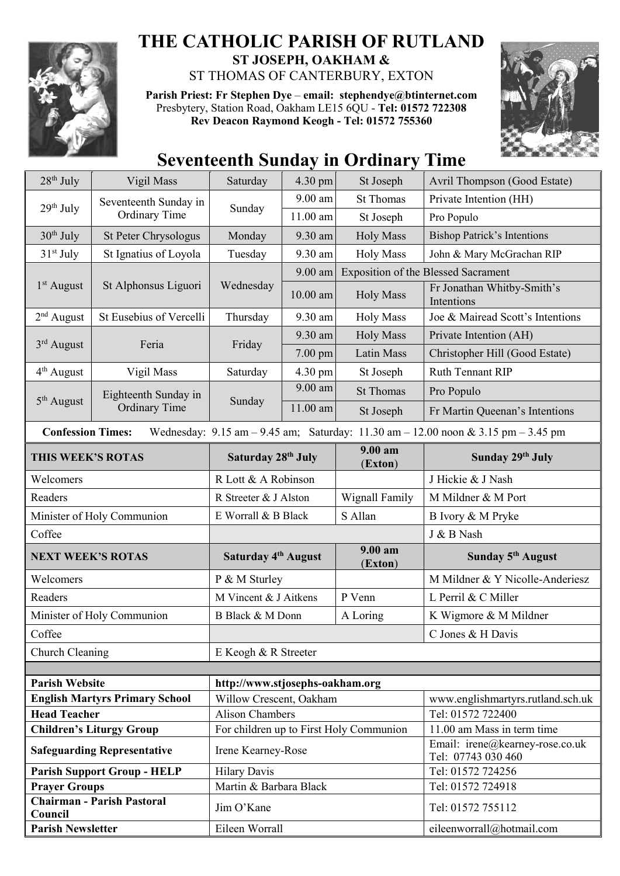

## **THE CATHOLIC PARISH OF RUTLAND ST JOSEPH, OAKHAM &**  ST THOMAS OF CANTERBURY, EXTON

**Parish Priest: Fr Stephen Dye** – **[email: stephendye@btinternet.com](mailto:email:%20%20stephendye@btinternet.com)** Presbytery, Station Road, Oakham LE15 6QU - **Tel: 01572 722308 Rev Deacon Raymond Keogh - Tel: 01572 755360**



## **Seventeenth Sunday in Ordinary Time**

| $28th$ July                                                                                                                                                         | Vigil Mass                                    | Saturday                                                          | 4.30 pm    | St Joseph          | Avril Thompson (Good Estate)                           |  |  |
|---------------------------------------------------------------------------------------------------------------------------------------------------------------------|-----------------------------------------------|-------------------------------------------------------------------|------------|--------------------|--------------------------------------------------------|--|--|
| 29 <sup>th</sup> July                                                                                                                                               | Seventeenth Sunday in<br><b>Ordinary Time</b> | Sunday                                                            | $9.00$ am  | <b>St Thomas</b>   | Private Intention (HH)                                 |  |  |
|                                                                                                                                                                     |                                               |                                                                   | $11.00$ am | St Joseph          | Pro Populo                                             |  |  |
| $30th$ July                                                                                                                                                         | St Peter Chrysologus                          | Monday                                                            | 9.30 am    | <b>Holy Mass</b>   | <b>Bishop Patrick's Intentions</b>                     |  |  |
| $31st$ July                                                                                                                                                         | St Ignatius of Loyola                         | Tuesday                                                           | 9.30 am    | <b>Holy Mass</b>   | John & Mary McGrachan RIP                              |  |  |
| $1st$ August                                                                                                                                                        | St Alphonsus Liguori                          | Wednesday                                                         | 9.00 am    |                    | <b>Exposition of the Blessed Sacrament</b>             |  |  |
|                                                                                                                                                                     |                                               |                                                                   | $10.00$ am | <b>Holy Mass</b>   | Fr Jonathan Whitby-Smith's<br>Intentions               |  |  |
| $2nd$ August                                                                                                                                                        | St Eusebius of Vercelli                       | Thursday                                                          | 9.30 am    | <b>Holy Mass</b>   | Joe & Mairead Scott's Intentions                       |  |  |
| $3rd$ August                                                                                                                                                        | Feria                                         | Friday                                                            | 9.30 am    | <b>Holy Mass</b>   | Private Intention (AH)                                 |  |  |
|                                                                                                                                                                     |                                               |                                                                   | $7.00$ pm  | <b>Latin Mass</b>  | Christopher Hill (Good Estate)                         |  |  |
| 4 <sup>th</sup> August                                                                                                                                              | Vigil Mass                                    | Saturday                                                          | 4.30 pm    | St Joseph          | Ruth Tennant RIP                                       |  |  |
| 5 <sup>th</sup> August                                                                                                                                              | Eighteenth Sunday in<br><b>Ordinary Time</b>  | Sunday                                                            | $9.00$ am  | <b>St Thomas</b>   | Pro Populo                                             |  |  |
|                                                                                                                                                                     |                                               |                                                                   | 11.00 am   | St Joseph          | Fr Martin Queenan's Intentions                         |  |  |
| <b>Confession Times:</b><br>Wednesday: $9.15 \text{ am} - 9.45 \text{ am}$ ; Saturday: $11.30 \text{ am} - 12.00 \text{ noon} \& 3.15 \text{ pm} - 3.45 \text{ pm}$ |                                               |                                                                   |            |                    |                                                        |  |  |
| THIS WEEK'S ROTAS                                                                                                                                                   |                                               | Saturday 28 <sup>th</sup> July                                    |            | 9.00 am<br>(Exton) | Sunday 29th July                                       |  |  |
| Welcomers                                                                                                                                                           |                                               | R Lott & A Robinson                                               |            |                    | J Hickie & J Nash                                      |  |  |
| Readers                                                                                                                                                             |                                               | R Streeter & J Alston                                             |            | Wignall Family     | M Mildner & M Port                                     |  |  |
| Minister of Holy Communion                                                                                                                                          |                                               | E Worrall & B Black                                               |            | S Allan            | B Ivory & M Pryke                                      |  |  |
| Coffee                                                                                                                                                              |                                               |                                                                   |            |                    | J & B Nash                                             |  |  |
| <b>NEXT WEEK'S ROTAS</b>                                                                                                                                            |                                               | Saturday 4 <sup>th</sup> August                                   |            | 9.00 am<br>(Exton) | Sunday 5 <sup>th</sup> August                          |  |  |
| Welcomers                                                                                                                                                           |                                               | P & M Sturley                                                     |            |                    | M Mildner & Y Nicolle-Anderiesz                        |  |  |
| Readers                                                                                                                                                             |                                               | M Vincent & J Aitkens                                             |            | P Venn             | L Perril & C Miller                                    |  |  |
| Minister of Holy Communion                                                                                                                                          |                                               | B Black & M Donn                                                  |            | A Loring           | K Wigmore & M Mildner                                  |  |  |
| Coffee                                                                                                                                                              |                                               |                                                                   |            |                    | C Jones & H Davis                                      |  |  |
| Church Cleaning                                                                                                                                                     |                                               | E Keogh & R Streeter                                              |            |                    |                                                        |  |  |
|                                                                                                                                                                     |                                               |                                                                   |            |                    |                                                        |  |  |
| <b>Parish Website</b>                                                                                                                                               |                                               | http://www.stjosephs-oakham.org                                   |            |                    |                                                        |  |  |
| <b>English Martyrs Primary School</b>                                                                                                                               |                                               | Willow Crescent, Oakham                                           |            |                    | www.englishmartyrs.rutland.sch.uk<br>Tel: 01572 722400 |  |  |
| <b>Head Teacher</b><br><b>Children's Liturgy Group</b>                                                                                                              |                                               | <b>Alison Chambers</b><br>For children up to First Holy Communion |            |                    | 11.00 am Mass in term time                             |  |  |
|                                                                                                                                                                     |                                               |                                                                   |            |                    | Email: irene@kearney-rose.co.uk                        |  |  |
| <b>Safeguarding Representative</b>                                                                                                                                  |                                               | Irene Kearney-Rose                                                |            |                    | Tel: 07743 030 460                                     |  |  |
|                                                                                                                                                                     | <b>Parish Support Group - HELP</b>            | <b>Hilary Davis</b><br>Martin & Barbara Black                     |            |                    | Tel: 01572 724256                                      |  |  |
| <b>Prayer Groups</b><br><b>Chairman - Parish Pastoral</b>                                                                                                           |                                               |                                                                   |            |                    | Tel: 01572 724918                                      |  |  |
| Council                                                                                                                                                             |                                               | Jim O'Kane                                                        |            |                    | Tel: 01572 755112                                      |  |  |
| <b>Parish Newsletter</b>                                                                                                                                            |                                               | Eileen Worrall                                                    |            |                    | eileenworrall@hotmail.com                              |  |  |